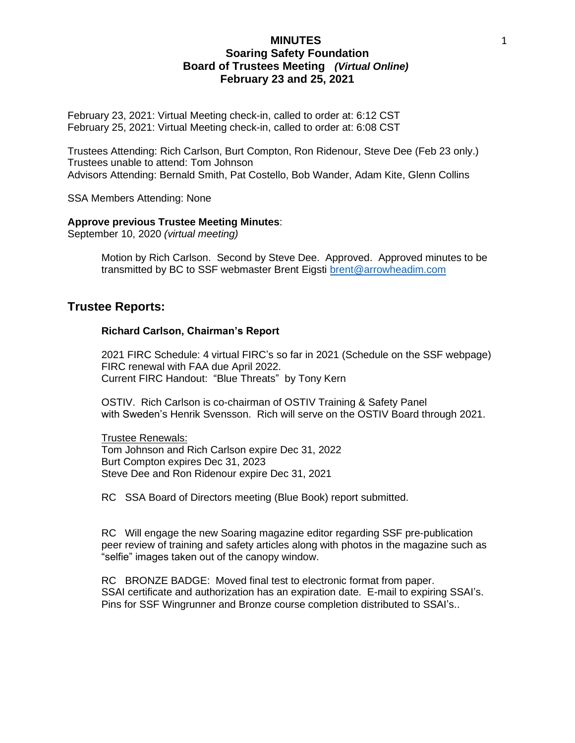February 23, 2021: Virtual Meeting check-in, called to order at: 6:12 CST February 25, 2021: Virtual Meeting check-in, called to order at: 6:08 CST

Trustees Attending: Rich Carlson, Burt Compton, Ron Ridenour, Steve Dee (Feb 23 only.) Trustees unable to attend: Tom Johnson Advisors Attending: Bernald Smith, Pat Costello, Bob Wander, Adam Kite, Glenn Collins

SSA Members Attending: None

#### **Approve previous Trustee Meeting Minutes**:

September 10, 2020 *(virtual meeting)*

Motion by Rich Carlson. Second by Steve Dee. Approved. Approved minutes to be transmitted by BC to SSF webmaster Brent Eigsti [brent@arrowheadim.com](mailto:brent@arrowheadim.com)

## **Trustee Reports:**

### **Richard Carlson, Chairman's Report**

2021 FIRC Schedule: 4 virtual FIRC's so far in 2021 (Schedule on the SSF webpage) FIRC renewal with FAA due April 2022. Current FIRC Handout: "Blue Threats" by Tony Kern

OSTIV. Rich Carlson is co-chairman of OSTIV Training & Safety Panel with Sweden's Henrik Svensson. Rich will serve on the OSTIV Board through 2021.

Trustee Renewals: Tom Johnson and Rich Carlson expire Dec 31, 2022 Burt Compton expires Dec 31, 2023 Steve Dee and Ron Ridenour expire Dec 31, 2021

RC SSA Board of Directors meeting (Blue Book) report submitted.

RC Will engage the new Soaring magazine editor regarding SSF pre-publication peer review of training and safety articles along with photos in the magazine such as "selfie" images taken out of the canopy window.

RC BRONZE BADGE: Moved final test to electronic format from paper. SSAI certificate and authorization has an expiration date. E-mail to expiring SSAI's. Pins for SSF Wingrunner and Bronze course completion distributed to SSAI's..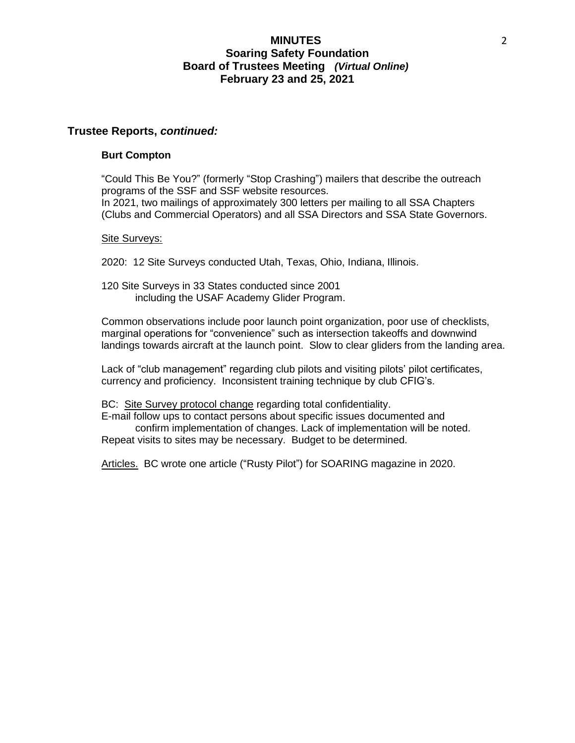### **Trustee Reports,** *continued:*

#### **Burt Compton**

"Could This Be You?" (formerly "Stop Crashing") mailers that describe the outreach programs of the SSF and SSF website resources. In 2021, two mailings of approximately 300 letters per mailing to all SSA Chapters (Clubs and Commercial Operators) and all SSA Directors and SSA State Governors.

#### Site Surveys:

2020: 12 Site Surveys conducted Utah, Texas, Ohio, Indiana, Illinois.

120 Site Surveys in 33 States conducted since 2001 including the USAF Academy Glider Program.

Common observations include poor launch point organization, poor use of checklists, marginal operations for "convenience" such as intersection takeoffs and downwind landings towards aircraft at the launch point. Slow to clear gliders from the landing area.

Lack of "club management" regarding club pilots and visiting pilots' pilot certificates, currency and proficiency. Inconsistent training technique by club CFIG's.

BC: Site Survey protocol change regarding total confidentiality.

E-mail follow ups to contact persons about specific issues documented and confirm implementation of changes. Lack of implementation will be noted. Repeat visits to sites may be necessary. Budget to be determined.

Articles. BC wrote one article ("Rusty Pilot") for SOARING magazine in 2020.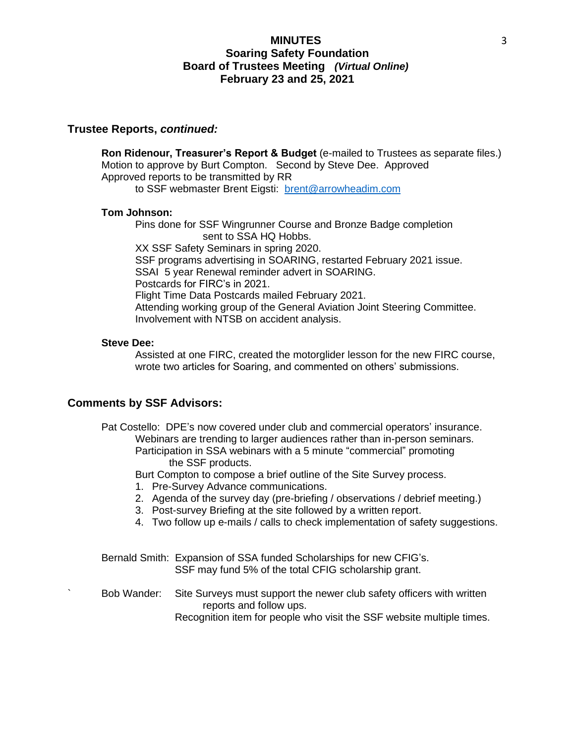## **Trustee Reports,** *continued:*

**Ron Ridenour, Treasurer's Report & Budget** (e-mailed to Trustees as separate files.) Motion to approve by Burt Compton. Second by Steve Dee. Approved Approved reports to be transmitted by RR to SSF webmaster Brent Eigsti: [brent@arrowheadim.com](mailto:brent@arrowheadim.com)

#### **Tom Johnson:**

Pins done for SSF Wingrunner Course and Bronze Badge completion sent to SSA HQ Hobbs.

XX SSF Safety Seminars in spring 2020. SSF programs advertising in SOARING, restarted February 2021 issue. SSAI 5 year Renewal reminder advert in SOARING. Postcards for FIRC's in 2021. Flight Time Data Postcards mailed February 2021. Attending working group of the General Aviation Joint Steering Committee. Involvement with NTSB on accident analysis.

#### **Steve Dee:**

Assisted at one FIRC, created the motorglider lesson for the new FIRC course, wrote two articles for Soaring, and commented on others' submissions.

## **Comments by SSF Advisors:**

Pat Costello: DPE's now covered under club and commercial operators' insurance. Webinars are trending to larger audiences rather than in-person seminars. Participation in SSA webinars with a 5 minute "commercial" promoting the SSF products.

Burt Compton to compose a brief outline of the Site Survey process.

- 1. Pre-Survey Advance communications.
- 2. Agenda of the survey day (pre-briefing / observations / debrief meeting.)
- 3. Post-survey Briefing at the site followed by a written report.
- 4. Two follow up e-mails / calls to check implementation of safety suggestions.

Bernald Smith: Expansion of SSA funded Scholarships for new CFIG's. SSF may fund 5% of the total CFIG scholarship grant.

Bob Wander: Site Surveys must support the newer club safety officers with written reports and follow ups.

Recognition item for people who visit the SSF website multiple times.